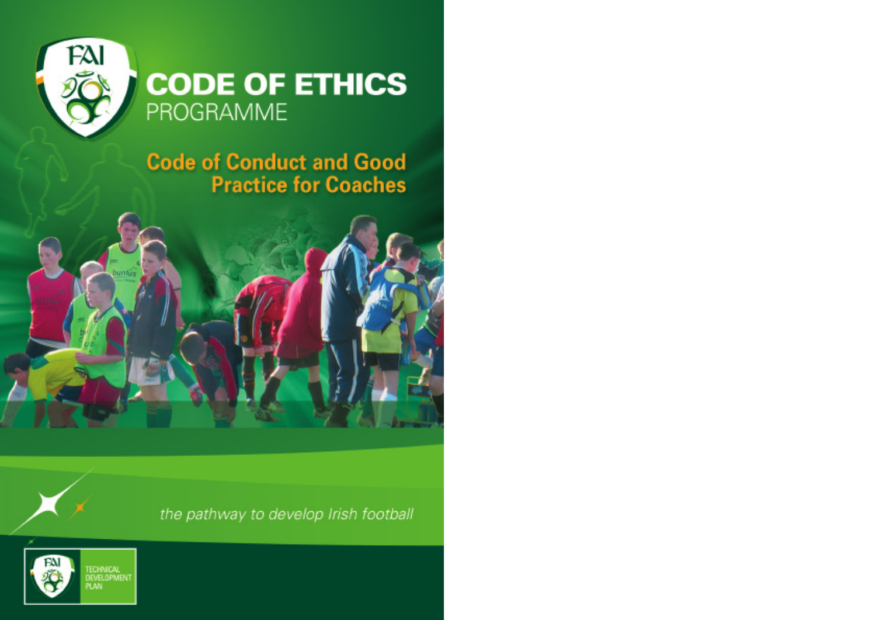

## **CODE OF ETHICS** PROGRAMME

**Code of Conduct and Good Practice for Coaches** 



the pathway to develop Irish football

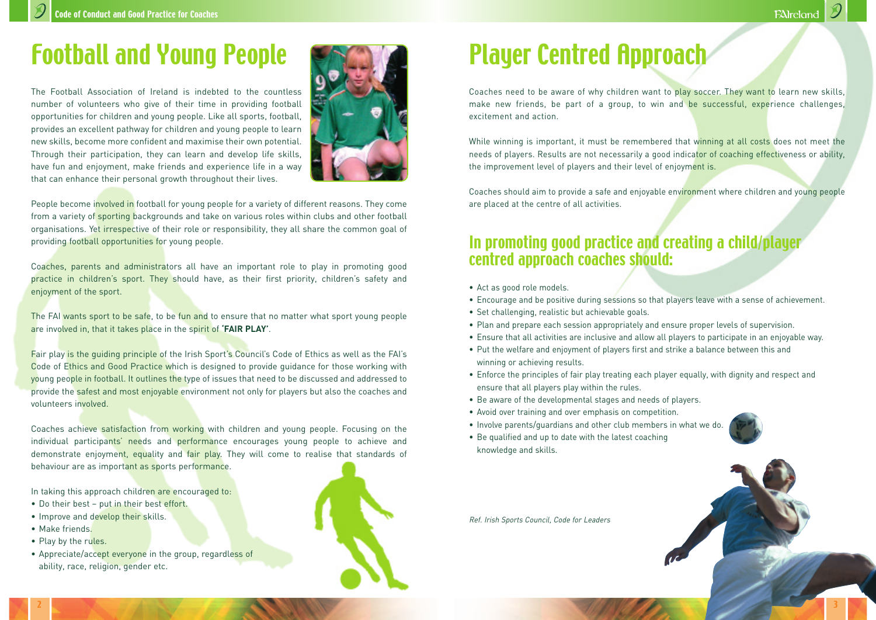## Football and Young People

The Football Association of Ireland is indebted to the countless number of volunteers who give of their time in providing football opportunities for children and young people. Like all sports, football, provides an excellent pathway for children and young people to learn new skills, become more confident and maximise their own potential. Through their participation, they can learn and develop life skills, have fun and enjoyment, make friends and experience life in a way that can enhance their personal growth throughout their lives.



People become involved in football for young people for a variety of different reasons. They come from a variety of sporting backgrounds and take on various roles within clubs and other football organisations. Yet irrespective of their role or responsibility, they all share the common goal of providing football opportunities for young people.

Coaches, parents and administrators all have an important role to play in promoting good practice in children's sport. They should have, as their first priority, children's safety and enjoyment of the sport.

The FAI wants sport to be safe, to be fun and to ensure that no matter what sport young people are involved in, that it takes place in the spirit of **'FAIR PLAY'**.

Fair play is the guiding principle of the Irish Sport's Council's Code of Ethics as well as the FAI's Code of Ethics and Good Practice which is designed to provide guidance for those working with young people in football. It outlines the type of issues that need to be discussed and addressed to provide the safest and most enjoyable environment not only for players but also the coaches and volunteers involved.

Coaches achieve satisfaction from working with children and young people. Focusing on the individual participants' needs and performance encourages young people to achieve and demonstrate enjoyment, equality and fair play. They will come to realise that standards of behaviour are as important as sports performance.

In taking this approach children are encouraged to:

- Do their best put in their best effort.
- Improve and develop their skills.
- Make friends.
- Play by the rules.
- Appreciate/accept everyone in the group, regardless of ability, race, religion, gender etc.



# Player Centred Approach

Coaches need to be aware of why children want to play soccer. They want to learn new skills, make new friends, be part of a group, to win and be successful, experience challenges, excitement and action.

While winning is important, it must be remembered that winning at all costs does not meet the needs of players. Results are not necessarily a good indicator of coaching effectiveness or ability, the improvement level of players and their level of enjoyment is.

Coaches should aim to provide a safe and enjoyable environment where children and young people are placed at the centre of all activities.

## In promoting good practice and creating a child/player centred approach coaches should:

- Act as good role models.
- Encourage and be positive during sessions so that players leave with a sense of achievement.
- Set challenging, realistic but achievable goals.
- Plan and prepare each session appropriately and ensure proper levels of supervision.
- Ensure that all activities are inclusive and allow all players to participate in an enjoyable way.
- Put the welfare and enjoyment of players first and strike a balance between this and winning or achieving results.
- Enforce the principles of fair play treating each player equally, with dignity and respect and ensure that all players play within the rules.
- Be aware of the developmental stages and needs of players.
- Avoid over training and over emphasis on competition.
- Involve parents/guardians and other club members in what we do.
- Be qualified and up to date with the latest coaching knowledge and skills.

Ref. Irish Sports Council, Code for Leaders

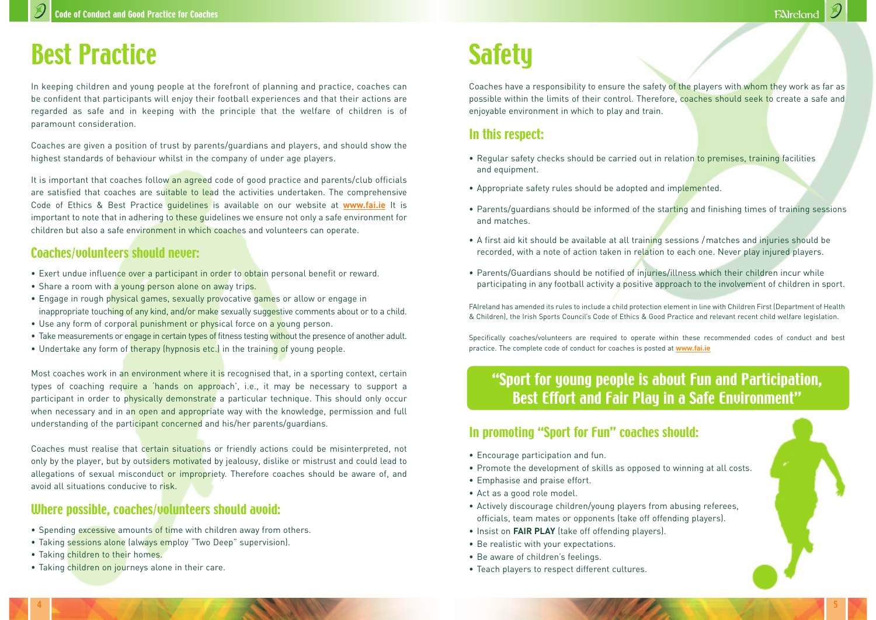## Best Practice

In keeping children and young people at the forefront of planning and practice, coaches can be confident that participants will enjoy their football experiences and that their actions are regarded as safe and in keeping with the principle that the welfare of children is of paramount consideration.

Coaches are given a position of trust by parents/guardians and players, and should show the highest standards of behaviour whilst in the company of under age players.

It is important that coaches follow an agreed code of good practice and parents/club officials are satisfied that coaches are suitable to lead the activities undertaken. The comprehensive Code of Ethics & Best Practice guidelines is available on our website at **www.fai.ie** It is important to note that in adhering to these guidelines we ensure not only a safe environment for children but also a safe environment in which coaches and volunteers can operate.

#### Coaches/volunteers should never:

- Exert undue influence over a participant in order to obtain personal benefit or reward.
- Share a room with a young person alone on away trips.
- Engage in rough physical games, sexually provocative games or allow or engage in inappropriate touching of any kind, and/or make sexually suggestive comments about or to a child.
- Use any form of corporal punishment or physical force on a young person.
- Take measurements or engage in certain types of fitness testing without the presence of another adult.
- Undertake any form of therapy (hypnosis etc.) in the training of young people.

Most coaches work in an environment where it is recognised that, in a sporting context, certain types of coaching require a 'hands on approach', i.e., it may be necessary to support a participant in order to physically demonstrate a particular technique. This should only occur when necessary and in an open and appropriate way with the knowledge, permission and full understanding of the participant concerned and his/her parents/guardians.

Coaches must realise that certain situations or friendly actions could be misinterpreted, not only by the player, but by outsiders motivated by jealousy, dislike or mistrust and could lead to allegations of sexual misconduct or impropriety. Therefore coaches should be aware of, and avoid all situations conducive to risk.

#### Where possible, coaches/volunteers should avoid:

- Spending excessive amounts of time with children away from others.
- Taking sessions alone (always employ "Two Deep" supervision).
- Taking children to their homes.
- Taking children on journeys alone in their care.

## **Safety**

Coaches have a responsibility to ensure the safety of the players with whom they work as far as possible within the limits of their control. Therefore, coaches should seek to create a safe and enjoyable environment in which to play and train.

#### In this respect:

- Regular safety checks should be carried out in relation to premises, training facilities and equipment.
- Appropriate safety rules should be adopted and implemented.
- Parents/guardians should be informed of the starting and finishing times of training sessions and matches.
- A first aid kit should be available at all training sessions /matches and injuries should be recorded, with a note of action taken in relation to each one. Never play injured players.
- Parents/Guardians should be notified of injuries/illness which their children incur while participating in any football activity a positive approach to the involvement of children in sport.

FAIreland has amended its rules to include a child protection element in line with Children First (Department of Health & Children), the Irish Sports Council's Code of Ethics & Good Practice and relevant recent child welfare legislation.

Specifically coaches/volunteers are required to operate within these recommended codes of conduct and best practice. The complete code of conduct for coaches is posted at **www.fai.ie**

### "Sport for young people is about Fun and Participation, Best Effort and Fair Play in a Safe Environment"

#### In promoting "Sport for Fun" coaches should:

- Encourage participation and fun.
- Promote the development of skills as opposed to winning at all costs.
- Emphasise and praise effort.
- Act as a good role model.
- Actively discourage children/young players from abusing referees, officials, team mates or opponents (take off offending players).
- Insist on **FAIR PLAY** (take off offending players).
- Be realistic with your expectations.
- Be aware of children's feelings.
- Teach players to respect different cultures.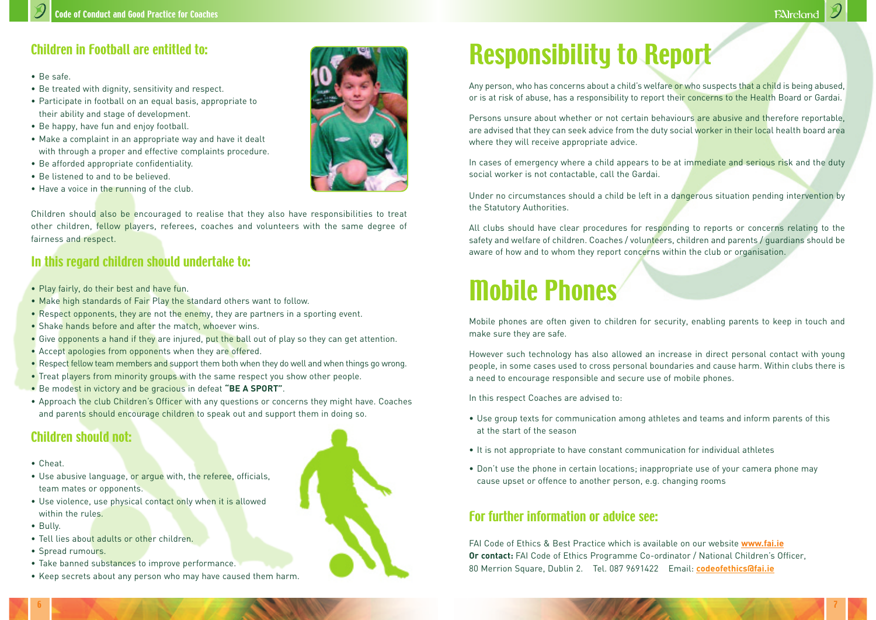### Children in Football are entitled to:

- Be safe.
- Be treated with dignity, sensitivity and respect.
- Participate in football on an equal basis, appropriate to their ability and stage of development.
- Be happy, have fun and enjoy football.
- Make a complaint in an appropriate way and have it dealt with through a proper and effective complaints procedure.
- Be afforded appropriate confidentiality.
- Be listened to and to be believed.
- Have a voice in the running of the club.



Children should also be encouraged to realise that they also have responsibilities to treat other children, fellow players, referees, coaches and volunteers with the same degree of fairness and respect.

#### In this regard children should undertake to:

- Play fairly, do their best and have fun.
- Make high standards of Fair Play the standard others want to follow.
- Respect opponents, they are not the enemy, they are partners in a sporting event.
- Shake hands before and after the match, whoever wins.
- Give opponents a hand if they are injured, put the ball out of play so they can get attention.
- Accept apologies from opponents when they are offered.
- Respect fellow team members and support them both when they do well and when things go wrong.
- Treat players from minority groups with the same respect you show other people.
- Be modest in victory and be gracious in defeat **"BE A SPORT"**.
- Approach the club Children's Officer with any questions or concerns they might have. Coaches and parents should encourage children to speak out and support them in doing so.

### Children should not:

- Cheat.
- Use abusive language, or argue with, the referee, officials, team mates or opponents.
- Use violence, use physical contact only when it is allowed within the rules.
- Bully.
- Tell lies about adults or other children.
- Spread rumours.
- Take banned substances to improve performance.



# Responsibility to Report

Any person, who has concerns about a child's welfare or who suspects that a child is being abused, or is at risk of abuse, has a responsibility to report their concerns to the Health Board or Gardai.

Persons unsure about whether or not certain behaviours are abusive and therefore reportable, are advised that they can seek advice from the duty social worker in their local health board area where they will receive appropriate advice.

In cases of emergency where a child appears to be at immediate and serious risk and the duty social worker is not contactable, call the Gardai.

Under no circumstances should a child be left in a dangerous situation pending intervention by the Statutory Authorities.

All clubs should have clear procedures for responding to reports or concerns relating to the safety and welfare of children. Coaches / volunteers, children and parents / guardians should be aware of how and to whom they report concerns within the club or organisation.

# Mobile Phones

Mobile phones are often given to children for security, enabling parents to keep in touch and make sure they are safe.

However such technology has also allowed an increase in direct personal contact with young people, in some cases used to cross personal boundaries and cause harm. Within clubs there is a need to encourage responsible and secure use of mobile phones.

In this respect Coaches are advised to:

- Use group texts for communication among athletes and teams and inform parents of this at the start of the season
- It is not appropriate to have constant communication for individual athletes
- Don't use the phone in certain locations; inappropriate use of your camera phone may cause upset or offence to another person, e.g. changing rooms

### For further information or advice see:

FAI Code of Ethics & Best Practice which is available on our website **www.fai.ie Or contact:** FAI Code of Ethics Programme Co-ordinator / National Children's Officer, 80 Merrion Square, Dublin 2. Tel. 087 9691422 Email: **codeofethics@fai.ie**